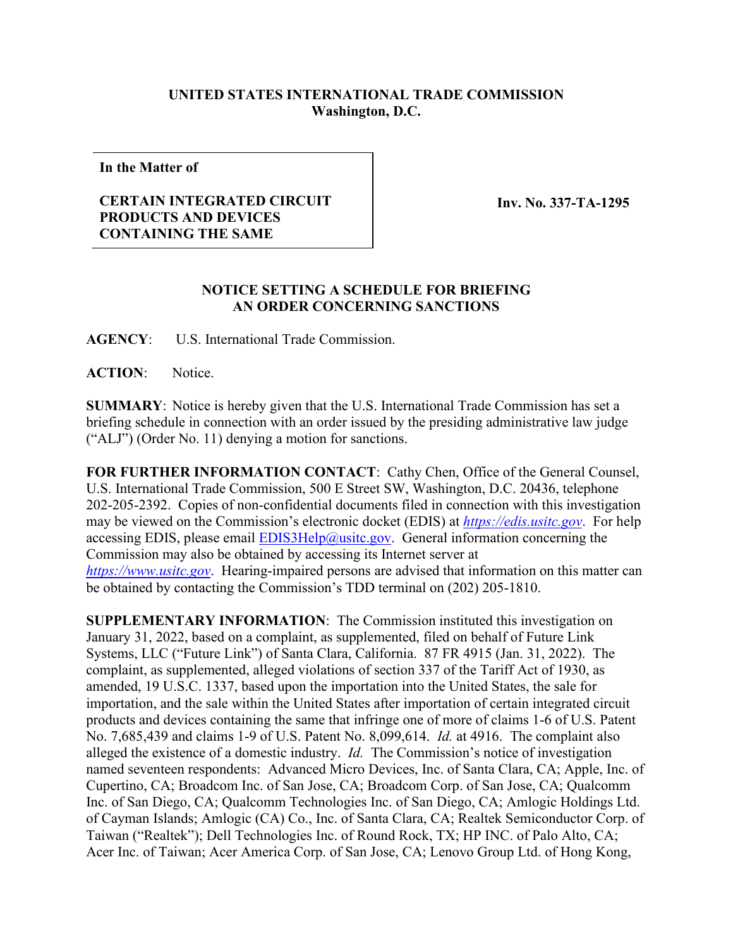## **UNITED STATES INTERNATIONAL TRADE COMMISSION Washington, D.C.**

**In the Matter of**

## **CERTAIN INTEGRATED CIRCUIT PRODUCTS AND DEVICES CONTAINING THE SAME**

**Inv. No. 337-TA-1295**

## **NOTICE SETTING A SCHEDULE FOR BRIEFING AN ORDER CONCERNING SANCTIONS**

**AGENCY**: U.S. International Trade Commission.

**ACTION**: Notice.

**SUMMARY**: Notice is hereby given that the U.S. International Trade Commission has set a briefing schedule in connection with an order issued by the presiding administrative law judge ("ALJ") (Order No. 11) denying a motion for sanctions.

**FOR FURTHER INFORMATION CONTACT**: Cathy Chen, Office of the General Counsel, U.S. International Trade Commission, 500 E Street SW, Washington, D.C. 20436, telephone 202-205-2392. Copies of non-confidential documents filed in connection with this investigation may be viewed on the Commission's electronic docket (EDIS) at *[https://edis.usitc.gov](https://edis.usitc.gov/)*. For help accessing EDIS, please email  $EDIS3Help@usite.gov$ . General information concerning the Commission may also be obtained by accessing its Internet server at *[https://www.usitc.gov](https://www.usitc.gov/)*. Hearing-impaired persons are advised that information on this matter can be obtained by contacting the Commission's TDD terminal on (202) 205-1810.

**SUPPLEMENTARY INFORMATION**: The Commission instituted this investigation on January 31, 2022, based on a complaint, as supplemented, filed on behalf of Future Link Systems, LLC ("Future Link") of Santa Clara, California. 87 FR 4915 (Jan. 31, 2022). The complaint, as supplemented, alleged violations of section 337 of the Tariff Act of 1930, as amended, 19 U.S.C. 1337, based upon the importation into the United States, the sale for importation, and the sale within the United States after importation of certain integrated circuit products and devices containing the same that infringe one of more of claims 1-6 of U.S. Patent No. 7,685,439 and claims 1-9 of U.S. Patent No. 8,099,614. *Id.* at 4916.The complaint also alleged the existence of a domestic industry. *Id.* The Commission's notice of investigation named seventeen respondents: Advanced Micro Devices, Inc. of Santa Clara, CA; Apple, Inc. of Cupertino, CA; Broadcom Inc. of San Jose, CA; Broadcom Corp. of San Jose, CA; Qualcomm Inc. of San Diego, CA; Qualcomm Technologies Inc. of San Diego, CA; Amlogic Holdings Ltd. of Cayman Islands; Amlogic (CA) Co., Inc. of Santa Clara, CA; Realtek Semiconductor Corp. of Taiwan ("Realtek"); Dell Technologies Inc. of Round Rock, TX; HP INC. of Palo Alto, CA; Acer Inc. of Taiwan; Acer America Corp. of San Jose, CA; Lenovo Group Ltd. of Hong Kong,